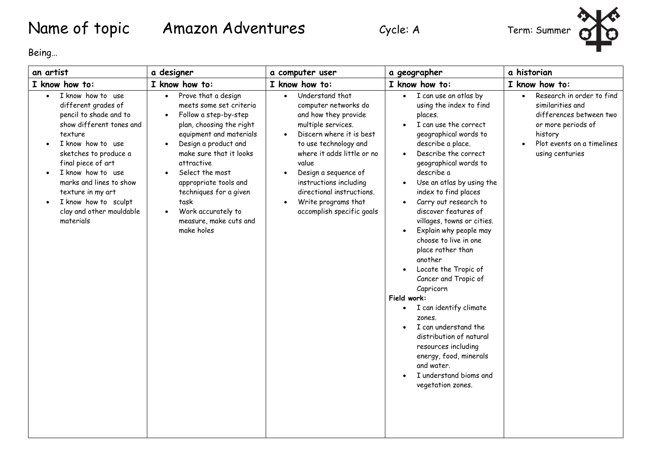## Name of topic Amazon Adventures Cycle: A Term: Summer



Being…

| an artist                                                                                                                                                                                                                                                                                                           | a designer                                                                                                                                                                                                                                                                                                                                                                                      | a computer user                                                                                                                                                                                                                                                                                                                                                          | a geographer                                                                                                                                                                                                                                                                                                                                                                                                                                                                                                                                                                                                                                                                                                                        | a historian                                                                                                                                                                          |
|---------------------------------------------------------------------------------------------------------------------------------------------------------------------------------------------------------------------------------------------------------------------------------------------------------------------|-------------------------------------------------------------------------------------------------------------------------------------------------------------------------------------------------------------------------------------------------------------------------------------------------------------------------------------------------------------------------------------------------|--------------------------------------------------------------------------------------------------------------------------------------------------------------------------------------------------------------------------------------------------------------------------------------------------------------------------------------------------------------------------|-------------------------------------------------------------------------------------------------------------------------------------------------------------------------------------------------------------------------------------------------------------------------------------------------------------------------------------------------------------------------------------------------------------------------------------------------------------------------------------------------------------------------------------------------------------------------------------------------------------------------------------------------------------------------------------------------------------------------------------|--------------------------------------------------------------------------------------------------------------------------------------------------------------------------------------|
| I know how to:                                                                                                                                                                                                                                                                                                      | I know how to:                                                                                                                                                                                                                                                                                                                                                                                  | I know how to:                                                                                                                                                                                                                                                                                                                                                           | I know how to:                                                                                                                                                                                                                                                                                                                                                                                                                                                                                                                                                                                                                                                                                                                      | I know how to:                                                                                                                                                                       |
| I know how to use<br>different grades of<br>pencil to shade and to<br>show different tones and<br>texture<br>I know how to use<br>sketches to produce a<br>final piece of art<br>I know how to use<br>marks and lines to show<br>texture in my art<br>I know how to sculpt<br>clay and other mouldable<br>materials | Prove that a design<br>$\bullet$<br>meets some set criteria<br>Follow a step-by-step<br>$\bullet$<br>plan, choosing the right<br>equipment and materials<br>Design a product and<br>make sure that it looks<br>attractive<br>Select the most<br>$\bullet$<br>appropriate tools and<br>techniques for a given<br>task<br>Work accurately to<br>$\bullet$<br>measure, make cuts and<br>make holes | Understand that<br>$\bullet$<br>computer networks do<br>and how they provide<br>multiple services.<br>Discern where it is best<br>$\bullet$<br>to use technology and<br>where it adds little or no<br>value<br>Design a sequence of<br>$\bullet$<br>instructions including<br>directional instructions.<br>Write programs that<br>$\bullet$<br>accomplish specific goals | I can use an atlas by<br>$\bullet$<br>using the index to find<br>places.<br>I can use the correct<br>geographical words to<br>describe a place.<br>Describe the correct<br>geographical words to<br>describe a<br>Use an atlas by using the<br>$\bullet$<br>index to find places<br>Carry out research to<br>discover features of<br>villages, towns or cities.<br>Explain why people may<br>choose to live in one<br>place rather than<br>another<br>Locate the Tropic of<br>Cancer and Tropic of<br>Capricorn<br>Field work:<br>I can identify climate<br>zones.<br>I can understand the<br>distribution of natural<br>resources including<br>energy, food, minerals<br>and water.<br>I understand bioms and<br>vegetation zones. | Research in order to find<br>$\bullet$<br>similarities and<br>differences between two<br>or more periods of<br>history<br>Plot events on a timelines<br>$\bullet$<br>using centuries |